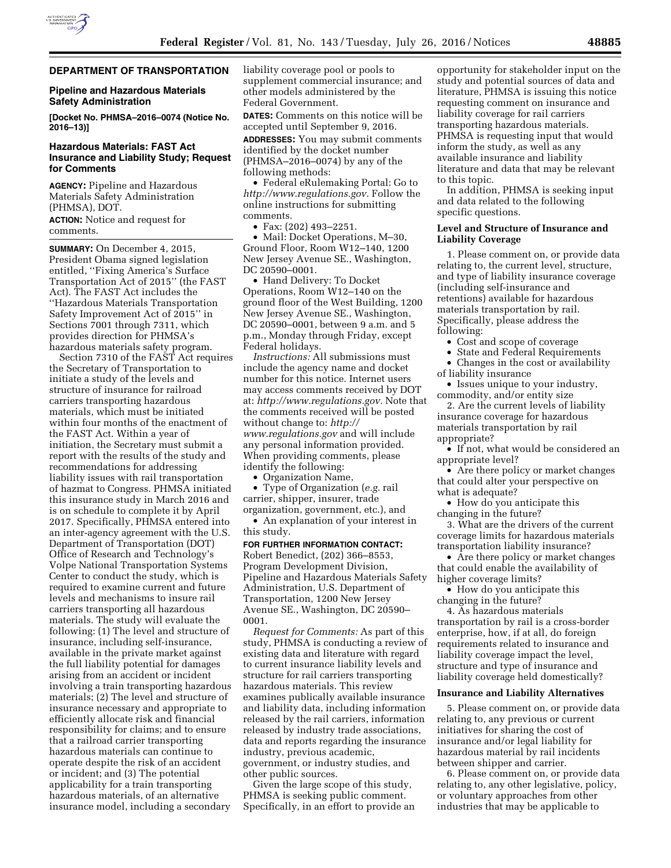

# **DEPARTMENT OF TRANSPORTATION**

#### **Pipeline and Hazardous Materials Safety Administration**

**[Docket No. PHMSA–2016–0074 (Notice No. 2016–13)]** 

## **Hazardous Materials: FAST Act Insurance and Liability Study; Request for Comments**

**AGENCY:** Pipeline and Hazardous Materials Safety Administration (PHMSA), DOT.

**ACTION:** Notice and request for comments.

**SUMMARY:** On December 4, 2015, President Obama signed legislation entitled, ''Fixing America's Surface Transportation Act of 2015'' (the FAST Act). The FAST Act includes the ''Hazardous Materials Transportation Safety Improvement Act of 2015'' in Sections 7001 through 7311, which provides direction for PHMSA's hazardous materials safety program.

Section 7310 of the FAST Act requires the Secretary of Transportation to initiate a study of the levels and structure of insurance for railroad carriers transporting hazardous materials, which must be initiated within four months of the enactment of the FAST Act. Within a year of initiation, the Secretary must submit a report with the results of the study and recommendations for addressing liability issues with rail transportation of hazmat to Congress. PHMSA initiated this insurance study in March 2016 and is on schedule to complete it by April 2017. Specifically, PHMSA entered into an inter-agency agreement with the U.S. Department of Transportation (DOT) Office of Research and Technology's Volpe National Transportation Systems Center to conduct the study, which is required to examine current and future levels and mechanisms to insure rail carriers transporting all hazardous materials. The study will evaluate the following: (1) The level and structure of insurance, including self-insurance, available in the private market against the full liability potential for damages arising from an accident or incident involving a train transporting hazardous materials; (2) The level and structure of insurance necessary and appropriate to efficiently allocate risk and financial responsibility for claims; and to ensure that a railroad carrier transporting hazardous materials can continue to operate despite the risk of an accident or incident; and (3) The potential applicability for a train transporting hazardous materials, of an alternative insurance model, including a secondary

liability coverage pool or pools to supplement commercial insurance; and other models administered by the Federal Government.

**DATES:** Comments on this notice will be accepted until September 9, 2016.

**ADDRESSES:** You may submit comments identified by the docket number (PHMSA–2016–0074) by any of the following methods:

• Federal eRulemaking Portal: Go to *[http://www.regulations.gov.](http://www.regulations.gov)* Follow the online instructions for submitting comments.

• Fax: (202) 493–2251.

• Mail: Docket Operations, M–30, Ground Floor, Room W12–140, 1200 New Jersey Avenue SE., Washington, DC 20590–0001.

• Hand Delivery: To Docket Operations, Room W12–140 on the ground floor of the West Building, 1200 New Jersey Avenue SE., Washington, DC 20590–0001, between 9 a.m. and 5 p.m., Monday through Friday, except Federal holidays.

*Instructions:* All submissions must include the agency name and docket number for this notice. Internet users may access comments received by DOT at: *[http://www.regulations.gov.](http://www.regulations.gov)* Note that the comments received will be posted without change to: *[http://](http://www.regulations.gov) [www.regulations.gov](http://www.regulations.gov)* and will include any personal information provided. When providing comments, please identify the following:

• Organization Name,

• Type of Organization (*e.g.* rail carrier, shipper, insurer, trade

organization, government, etc.), and • An explanation of your interest in this study.

**FOR FURTHER INFORMATION CONTACT:**  Robert Benedict, (202) 366–8553, Program Development Division, Pipeline and Hazardous Materials Safety Administration, U.S. Department of Transportation, 1200 New Jersey Avenue SE., Washington, DC 20590– 0001.

*Request for Comments:* As part of this study, PHMSA is conducting a review of existing data and literature with regard to current insurance liability levels and structure for rail carriers transporting hazardous materials. This review examines publically available insurance and liability data, including information released by the rail carriers, information released by industry trade associations, data and reports regarding the insurance industry, previous academic, government, or industry studies, and other public sources.

Given the large scope of this study, PHMSA is seeking public comment. Specifically, in an effort to provide an opportunity for stakeholder input on the study and potential sources of data and literature, PHMSA is issuing this notice requesting comment on insurance and liability coverage for rail carriers transporting hazardous materials. PHMSA is requesting input that would inform the study, as well as any available insurance and liability literature and data that may be relevant to this topic.

In addition, PHMSA is seeking input and data related to the following specific questions.

#### **Level and Structure of Insurance and Liability Coverage**

1. Please comment on, or provide data relating to, the current level, structure, and type of liability insurance coverage (including self-insurance and retentions) available for hazardous materials transportation by rail. Specifically, please address the following:

- Cost and scope of coverage
- State and Federal Requirements

• Changes in the cost or availability of liability insurance

• Issues unique to your industry, commodity, and/or entity size

2. Are the current levels of liability insurance coverage for hazardous materials transportation by rail appropriate?

• If not, what would be considered an appropriate level?

• Are there policy or market changes that could alter your perspective on what is adequate?

• How do you anticipate this changing in the future?

3. What are the drivers of the current coverage limits for hazardous materials transportation liability insurance?

• Are there policy or market changes that could enable the availability of higher coverage limits?

• How do you anticipate this changing in the future?

4. As hazardous materials transportation by rail is a cross-border enterprise, how, if at all, do foreign requirements related to insurance and liability coverage impact the level, structure and type of insurance and liability coverage held domestically?

## **Insurance and Liability Alternatives**

5. Please comment on, or provide data relating to, any previous or current initiatives for sharing the cost of insurance and/or legal liability for hazardous material by rail incidents between shipper and carrier.

6. Please comment on, or provide data relating to, any other legislative, policy, or voluntary approaches from other industries that may be applicable to